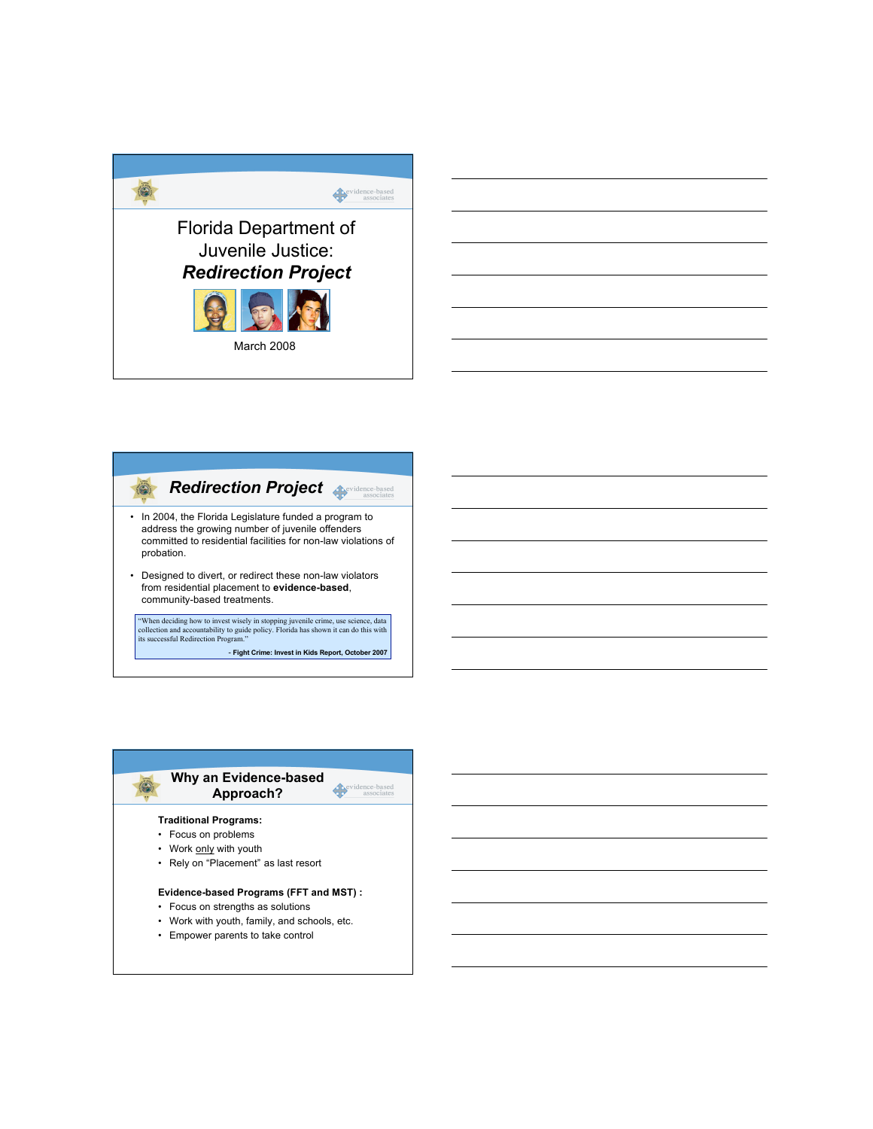





• Focus on strengths as solutions

- Work with youth, family, and schools, etc.
- Empower parents to take control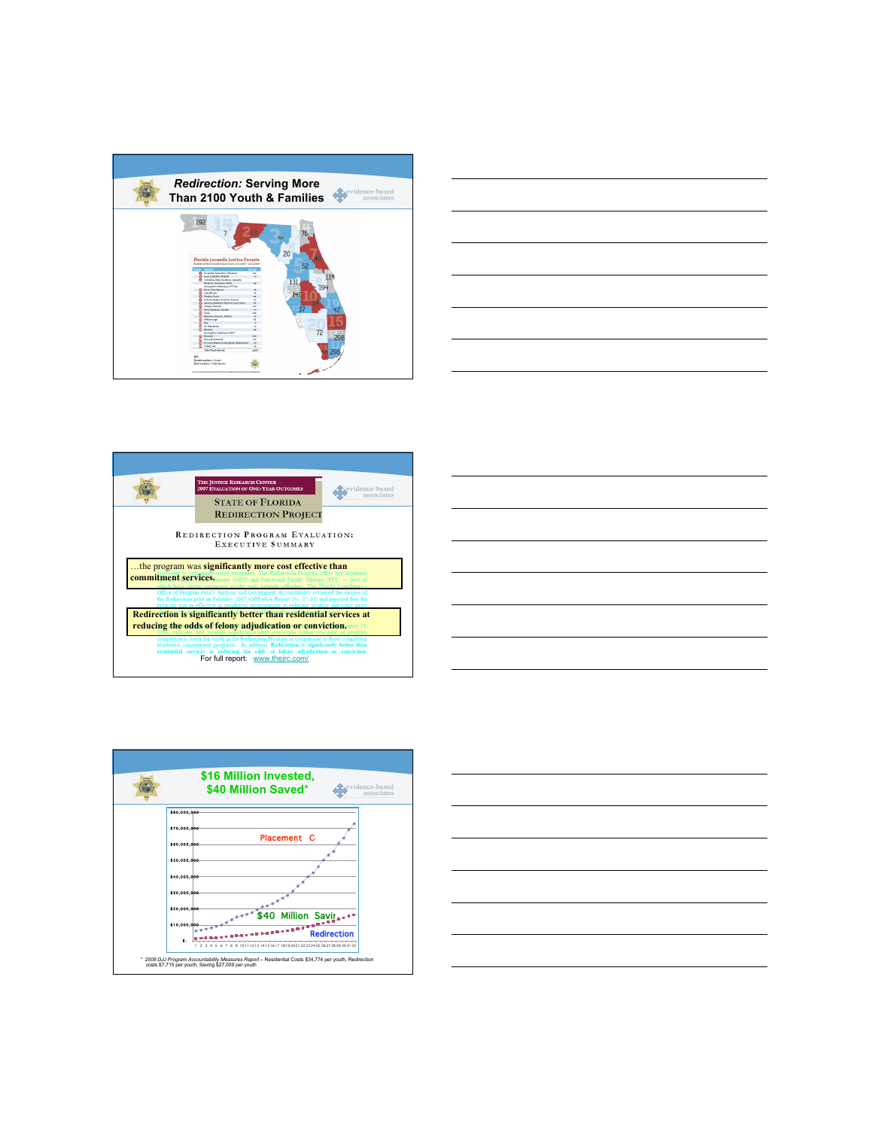









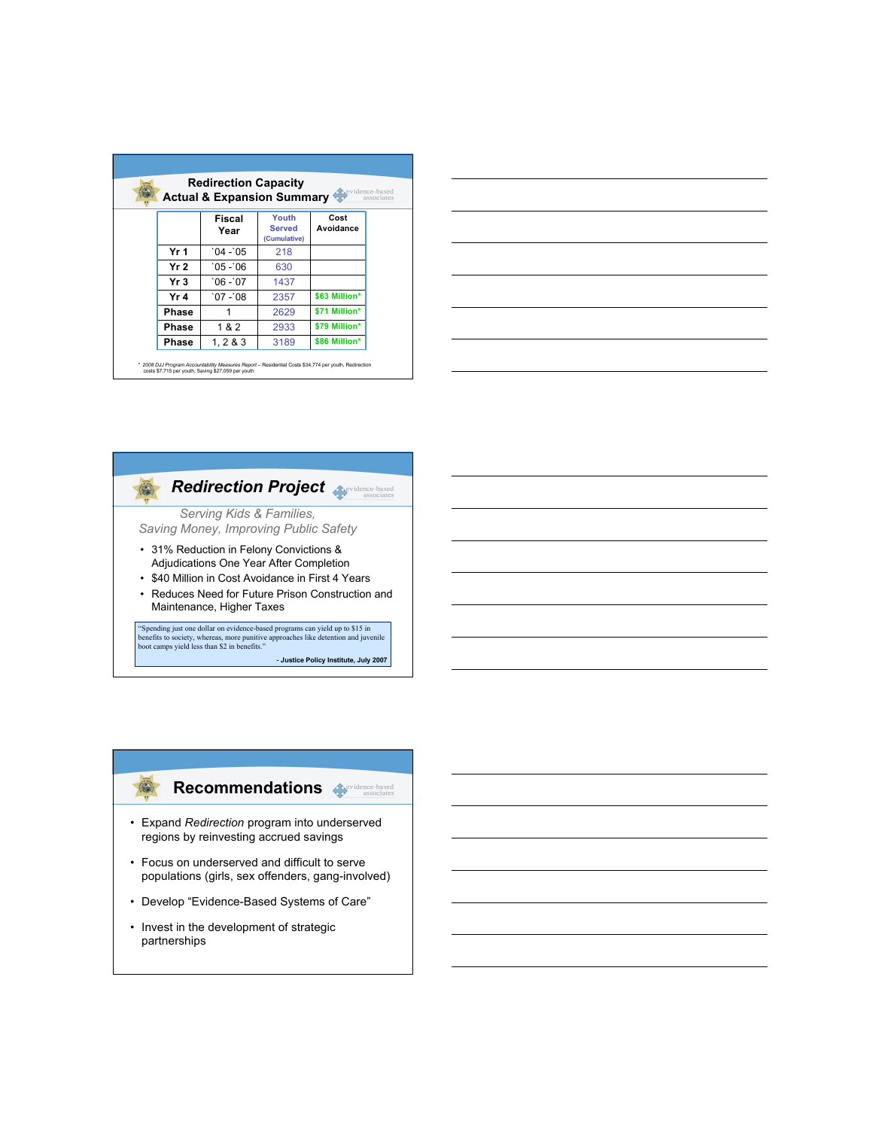| <b>Redirection Capacity</b><br><b>A</b> evidence-based<br><b>Actual &amp; Expansion Summary</b><br>associates |                       |                                 |                   |
|---------------------------------------------------------------------------------------------------------------|-----------------------|---------------------------------|-------------------|
|                                                                                                               | <b>Fiscal</b><br>Year | Youth<br>Served<br>(Cumulative) | Cost<br>Avoidance |
| Yr 1                                                                                                          | $04 - 05$             | 218                             |                   |
| Yr 2                                                                                                          | $05 - 06$             | 630                             |                   |
| Yr 3                                                                                                          | $06 - 07$             | 1437                            |                   |
| Yr 4                                                                                                          | $07 - 08$             | 2357                            | \$63 Million*     |
| Phase                                                                                                         |                       | 2629                            | \$71 Million*     |
| Phase                                                                                                         | 1&2                   | 2933                            | \$79 Million*     |
| Phase                                                                                                         | 1, 283                | 3189                            | \$86 Million*     |





- **Justice Policy Institute, July 2007**

## **Recommendations**

• Expand *Redirection* program into underserved regions by reinvesting accrued savings

 $\circledast$ 

- Focus on underserved and difficult to serve populations (girls, sex offenders, gang-involved)
- Develop "Evidence-Based Systems of Care"
- Invest in the development of strategic partnerships